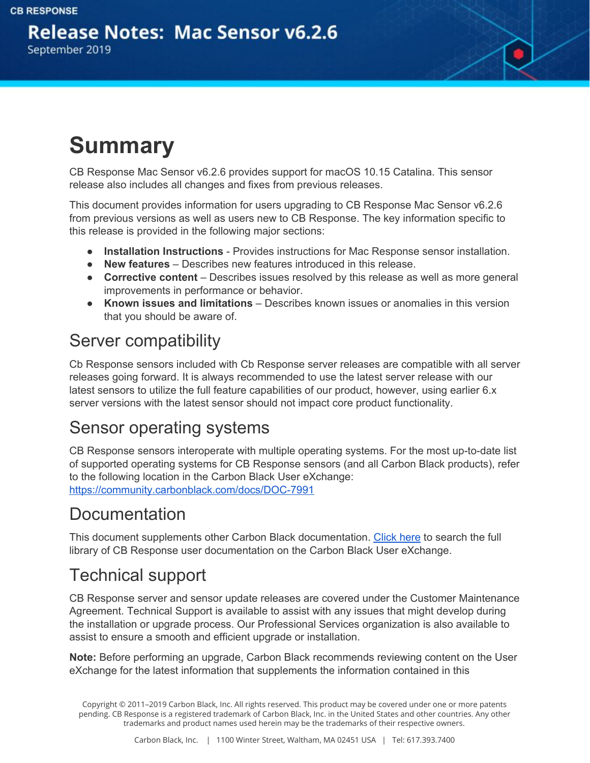**Release Notes: Mac Sensor v6.2.6** September 2019



# **Summary**

CB Response Mac Sensor v6.2.6 provides support for macOS 10.15 Catalina. This sensor release also includes all changes and fixes from previous releases.

This document provides information for users upgrading to CB Response Mac Sensor v6.2.6 from previous versions as well as users new to CB Response. The key information specific to this release is provided in the following major sections:

- **Installation Instructions** Provides instructions for Mac Response sensor installation.
- **New features** Describes new features introduced in this release.
- **● Corrective content** Describes issues resolved by this release as well as more general improvements in performance or behavior.
- **Known issues and limitations** Describes known issues or anomalies in this version that you should be aware of.

#### Server compatibility

Cb Response sensors included with Cb Response server releases are compatible with all server releases going forward. It is always recommended to use the latest server release with our latest sensors to utilize the full feature capabilities of our product, however, using earlier 6.x server versions with the latest sensor should not impact core product functionality.

#### Sensor operating systems

CB Response sensors interoperate with multiple operating systems. For the most up-to-date list of supported operating systems for CB Response sensors (and all Carbon Black products), refer to the following location in the Carbon Black User eXchange: <https://community.carbonblack.com/docs/DOC-7991>

#### Documentation

This document supplements other Carbon Black documentation. [Click](https://community.carbonblack.com/community/resources/product-docs-and-news/content?filterID=contentstatus%5Bpublished%5D~tag%5Bcb+response%5D) here to search the full library of CB Response user documentation on the Carbon Black User eXchange.

#### Technical support

CB Response server and sensor update releases are covered under the Customer Maintenance Agreement. Technical Support is available to assist with any issues that might develop during the installation or upgrade process. Our Professional Services organization is also available to assist to ensure a smooth and efficient upgrade or installation.

**Note:** Before performing an upgrade, Carbon Black recommends reviewing content on the User eXchange for the latest information that supplements the information contained in this

Copyright © 2011–2019 Carbon Black, Inc. All rights reserved. This product may be covered under one or more patents pending. CB Response is a registered trademark of Carbon Black, Inc. in the United States and other countries. Any other trademarks and product names used herein may be the trademarks of their respective owners.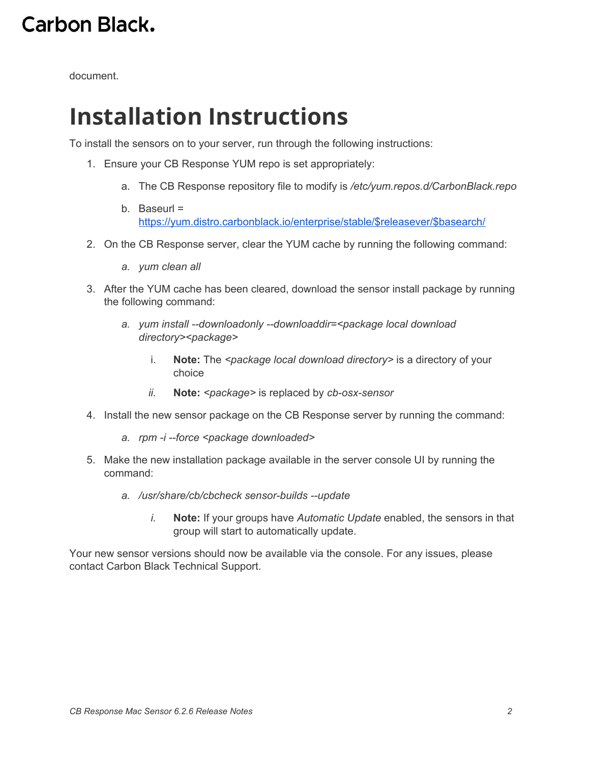document.

## **Installation Instructions**

To install the sensors on to your server, run through the following instructions:

- 1. Ensure your CB Response YUM repo is set appropriately:
	- a. The CB Response repository file to modify is */etc/yum.repos.d/CarbonBlack.repo*
	- b. Baseurl = [https://yum.distro.carbonblack.io/enterprise/stable/\\$releasever/\\$basearch/](https://yum.distro.carbonblack.io/enterprise/stable/$releasever/$basearch/)
- 2. On the CB Response server, clear the YUM cache by running the following command:
	- *a. yum clean all*
- 3. After the YUM cache has been cleared, download the sensor install package by running the following command:
	- *a. yum install --downloadonly --downloaddir=<package local download directory><package>*
		- i. **Note:** The *<package local download directory>* is a directory of your choice
		- *ii.* **Note:** *<package>* is replaced by *cb-osx-sensor*
- 4. Install the new sensor package on the CB Response server by running the command:
	- *a. rpm -i --force <package downloaded>*
- 5. Make the new installation package available in the server console UI by running the command:
	- *a. /usr/share/cb/cbcheck sensor-builds --update*
		- *i.* **Note:** If your groups have *Automatic Update* enabled, the sensors in that group will start to automatically update.

Your new sensor versions should now be available via the console. For any issues, please contact Carbon Black Technical Support.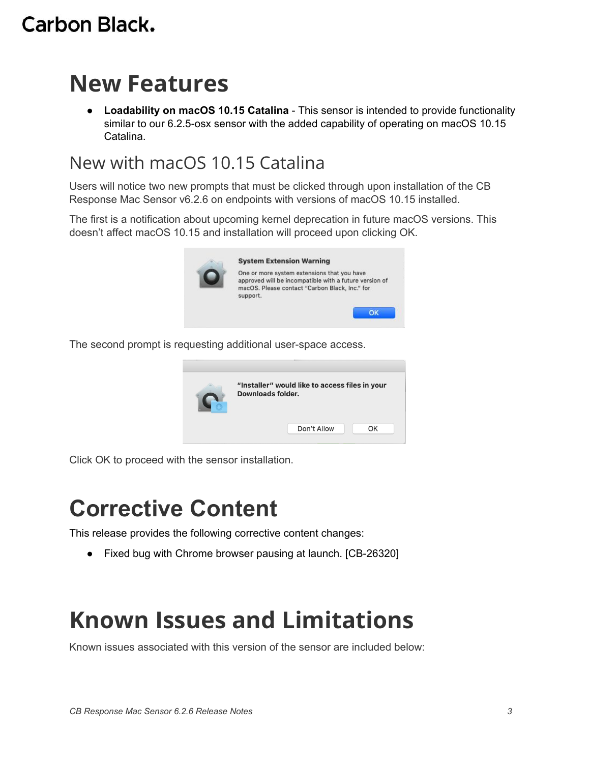#### Carbon Black.

## **New Features**

● **Loadability on macOS 10.15 Catalina** - This sensor is intended to provide functionality similar to our 6.2.5-osx sensor with the added capability of operating on macOS 10.15 Catalina.

#### New with macOS 10.15 Catalina

Users will notice two new prompts that must be clicked through upon installation of the CB Response Mac Sensor v6.2.6 on endpoints with versions of macOS 10.15 installed.

The first is a notification about upcoming kernel deprecation in future macOS versions. This doesn't affect macOS 10.15 and installation will proceed upon clicking OK.



The second prompt is requesting additional user-space access.



Click OK to proceed with the sensor installation.

## **Corrective Content**

This release provides the following corrective content changes:

● Fixed bug with Chrome browser pausing at launch. [CB-26320]

# **Known Issues and Limitations**

Known issues associated with this version of the sensor are included below: